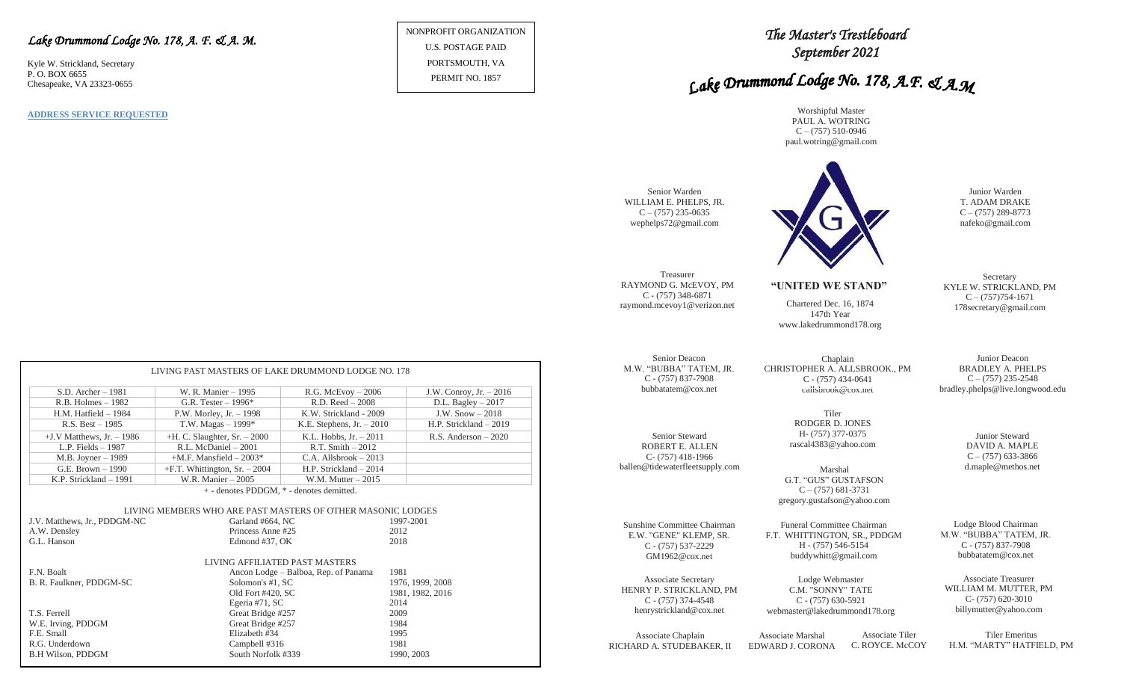### *Lake Drummond Lodge No. 178, A. F. & A. M.*

Kyle W. Strickland, Secretary P. O. BOX 6655 Chesapeake, VA 23323-0655

**ADDRESS SERVICE REQUESTED**

NONPROFIT ORGANIZATION U.S. POSTAGE PAID PORTSMOUTH, VA PERMIT NO. 1857

# *The Master's Trestleboard September 2021*

# Lake Drummond Lodge No. 178, A.F. & A.M

Worshipful Master PAUL A. WOTRING  $C - (757)$  510-0946 paul.wotring@gmail.com



Junior Deacon BRADLEY A. PHELPS

**Secretary** 

 $C - (757)$  235-2548 bradley.phelps@live.longwood.edu

> Junior Steward DAVID A. MAPLE  $C - (757)$  633-3866

Lodge Blood Chairman M.W. "BUBBA" TATEM, JR. C - (757) 837-7908 bubbatatem@cox.net

Associate Treasurer WILLIAM M. MUTTER, PM C- (757) 620-3010 billymutter@yahoo.com

Associate Chaplain RICHARD A. STUDEBAKER, II

EDWARD J. CORONA Associate Tiler C. ROYCE. McCOY

Tiler Emeritus H.M. "MARTY" HATFIELD, PM

| LIVING PAST MASTERS OF LAKE DRUMMOND LODGE NO. 178          |                                                              |                                      |                          |  |  |  |  |  |  |
|-------------------------------------------------------------|--------------------------------------------------------------|--------------------------------------|--------------------------|--|--|--|--|--|--|
| $S.D.$ Archer $-1981$                                       | W. R. Manier - 1995                                          | $R.G.$ McEvoy $-2006$                | J.W. Conroy, Jr. $-2016$ |  |  |  |  |  |  |
| $R.B.$ Holmes $-1982$                                       | G.R. Tester $-1996*$                                         | $R.D. Reed - 2008$                   | D.L. Bagley - 2017       |  |  |  |  |  |  |
| $H.M.$ Hatfield $-1984$                                     | P.W. Morley, Jr. $-1998$                                     | K.W. Strickland - 2009               | J.W. $Show-2018$         |  |  |  |  |  |  |
| $R.S. Best - 1985$                                          | T.W. Magas $-1999*$                                          | K.E. Stephens, $Jr. - 2010$          | H.P. Strickland $-2019$  |  |  |  |  |  |  |
| $+J.V$ Matthews, Jr. $-1986$                                | $+H$ . C. Slaughter, Sr. $-2000$<br>K.L. Hobbs, $Jr. - 2011$ |                                      | R.S. Anderson $-2020$    |  |  |  |  |  |  |
| L.P. Fields $-1987$                                         | R.L. McDaniel - 2001<br>$R.T. Smith - 2012$                  |                                      |                          |  |  |  |  |  |  |
| $M.B.$ Joyner $-1989$                                       | $+$ M.F. Mansfield $-$ 2003 $*$<br>$C.A.$ Allsbrook $-2013$  |                                      |                          |  |  |  |  |  |  |
| G.E. Brown - 1990                                           | $+F.T.$ Whittington, Sr. $-2004$                             | H.P. Strickland $-2014$              |                          |  |  |  |  |  |  |
| K.P. Strickland - 1991                                      | W.R. Manier - 2005                                           | W.M. Mutter $-2015$                  |                          |  |  |  |  |  |  |
| + - denotes PDDGM, * - denotes demitted.                    |                                                              |                                      |                          |  |  |  |  |  |  |
| LIVING MEMBERS WHO ARE PAST MASTERS OF OTHER MASONIC LODGES |                                                              |                                      |                          |  |  |  |  |  |  |
| J.V. Matthews, Jr., PDDGM-NC                                | Garland #664, NC                                             |                                      | 1997-2001                |  |  |  |  |  |  |
| A.W. Densley                                                | Princess Anne #25                                            |                                      | 2012                     |  |  |  |  |  |  |
| G.L. Hanson                                                 | Edmond #37, OK                                               |                                      | 2018                     |  |  |  |  |  |  |
| <b>LIVING AFFILIATED PAST MASTERS</b>                       |                                                              |                                      |                          |  |  |  |  |  |  |
| <b>E.N.</b> Boalt                                           |                                                              | Ancon Lodge – Balboa, Rep. of Panama | 1981                     |  |  |  |  |  |  |
| B. R. Faulkner, PDDGM-SC                                    | Solomon's #1, SC                                             |                                      | 1976, 1999, 2008         |  |  |  |  |  |  |
|                                                             | Old Fort #420, SC                                            |                                      | 1981, 1982, 2016         |  |  |  |  |  |  |
|                                                             | Egeria #71, SC                                               |                                      | 2014                     |  |  |  |  |  |  |
| T.S. Ferrell                                                | Great Bridge #257                                            |                                      | 2009                     |  |  |  |  |  |  |
| W.E. Irving, PDDGM                                          | Great Bridge #257                                            |                                      | 1984                     |  |  |  |  |  |  |
| F.E. Small                                                  | Elizabeth #34                                                |                                      | 1995                     |  |  |  |  |  |  |
| R.G. Underdown                                              | Campbell #316                                                |                                      | 1981                     |  |  |  |  |  |  |

B.H Wilson, PDDGM South Norfolk #339 1990, 2003

# GM1962@cox.net

Associate Secretary HENRY P. STRICKLAND, PM C - (757) 374-4548 henrystrickland@cox.net

Senior Steward ROBERT E. ALLEN C- (757) 418-1966 ballen@tidewaterfleetsupply.com

Sunshine Committee Chairman E.W. "GENE" KLEMP, SR. C - (757) 537-2229

Treasurer

Senior Warden

 $C - (757)$  235-0635

C - (757) 348-6871

Senior Deacon

C - (757) 837-7908

F.T. WHITTINGTON, SR., PDDGM

H - (757) 546-5154 buddywhitt@gmail.com

Lodge Webmaster C.M. "SONNY" TATE C - (757) 630-5921

gregory.gustafson@yahoo.com

webmaster@lakedrummond178.org

Associate Marshal

rascal4383@yahoo.com

Tiler RODGER D. JONES H- (757) 377-0375

G.T. "GUS" GUSTAFSON  $C - (757)$  681-3731

Marshal d.maple@methos.net

Funeral Committee Chairman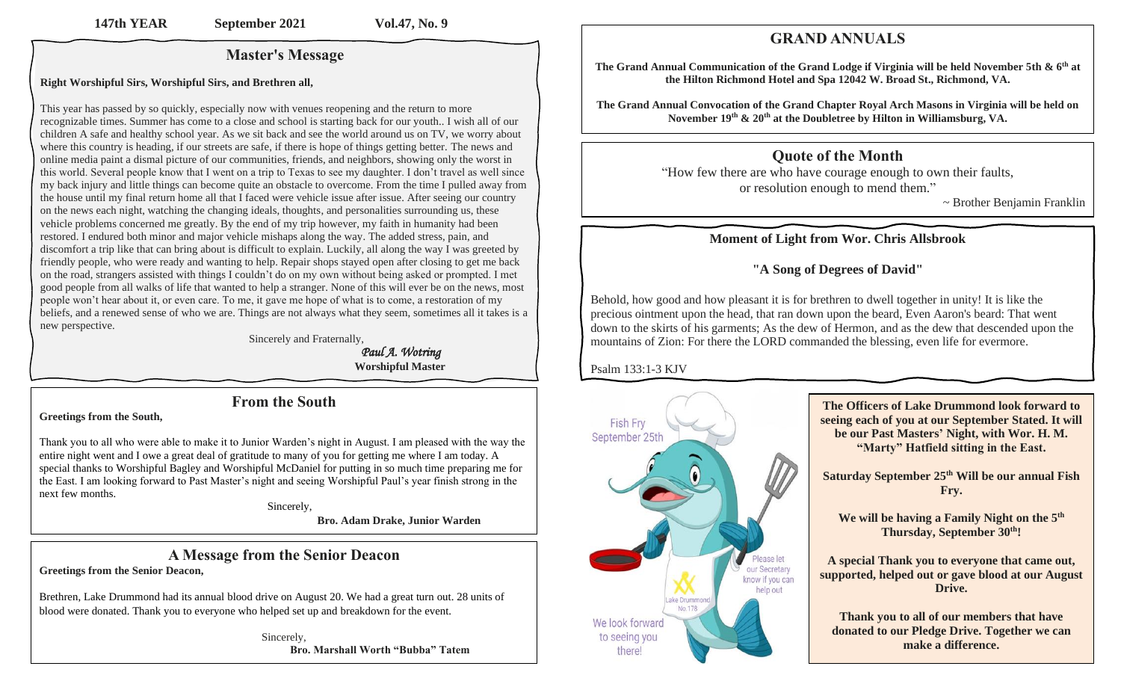# **Master's Message**

#### **Right Worshipful Sirs, Worshipful Sirs, and Brethren all,**

This year has passed by so quickly, especially now with venues reopening and the return to more recognizable times. Summer has come to a close and school is starting back for our youth.. I wish all of our children A safe and healthy school year. As we sit back and see the world around us on TV, we worry about where this country is heading, if our streets are safe, if there is hope of things getting better. The news and online media paint a dismal picture of our communities, friends, and neighbors, showing only the worst in this world. Several people know that I went on a trip to Texas to see my daughter. I don't travel as well since my back injury and little things can become quite an obstacle to overcome. From the time I pulled away from the house until my final return home all that I faced were vehicle issue after issue. After seeing our country on the news each night, watching the changing ideals, thoughts, and personalities surrounding us, these vehicle problems concerned me greatly. By the end of my trip however, my faith in humanity had been restored. I endured both minor and major vehicle mishaps along the way. The added stress, pain, and discomfort a trip like that can bring about is difficult to explain. Luckily, all along the way I was greeted by friendly people, who were ready and wanting to help. Repair shops stayed open after closing to get me back on the road, strangers assisted with things I couldn't do on my own without being asked or prompted. I met good people from all walks of life that wanted to help a stranger. None of this will ever be on the news, most people won't hear about it, or even care. To me, it gave me hope of what is to come, a restoration of my beliefs, and a renewed sense of who we are. Things are not always what they seem, sometimes all it takes is a new perspective.

Sincerely and Fraternally,

 *Paul A. Wotring* **Worshipful Master**

# **From the South**

#### **Greetings from the South,**

Thank you to all who were able to make it to Junior Warden's night in August. I am pleased with the way the entire night went and I owe a great deal of gratitude to many of you for getting me where I am today. A special thanks to Worshipful Bagley and Worshipful McDaniel for putting in so much time preparing me for the East. I am looking forward to Past Master's night and seeing Worshipful Paul's year finish strong in the next few months.

Sincerely,

**Bro. Adam Drake, Junior Warden**

#### **A Message from the Senior Deacon Greetings from the Senior Deacon,**

Brethren, Lake Drummond had its annual blood drive on August 20. We had a great turn out. 28 units of blood were donated. Thank you to everyone who helped set up and breakdown for the event.

> Sincerely,  **Bro. Marshall Worth "Bubba" Tatem**

# **GRAND ANNUALS**

**The Grand Annual Communication of the Grand Lodge if Virginia will be held November 5th & 6 th at the Hilton Richmond Hotel and Spa 12042 W. Broad St., Richmond, VA.**

**The Grand Annual Convocation of the Grand Chapter Royal Arch Masons in Virginia will be held on**  November 19<sup>th</sup> & 20<sup>th</sup> at the Doubletree by Hilton in Williamsburg, VA.

# **Quote of the Month**

"How few there are who have courage enough to own their faults, or resolution enough to mend them."

~ Brother Benjamin Franklin

# **Moment of Light from Wor. Chris Allsbrook**

# **"A Song of Degrees of David"**

Behold, how good and how pleasant it is for brethren to dwell together in unity! It is like the precious ointment upon the head, that ran down upon the beard, Even Aaron's beard: That went down to the skirts of his garments; As the dew of Hermon, and as the dew that descended upon the mountains of Zion: For there the LORD commanded the blessing, even life for evermore.

Psalm 133:1-3 KJV

-



**The Officers of Lake Drummond look forward to seeing each of you at our September Stated. It will be our Past Masters' Night, with Wor. H. M. "Marty" Hatfield sitting in the East.**

**Saturday September 25th Will be our annual Fish Fry.**

**We will be having a Family Night on the 5th Thursday, September 30th!**

**A special Thank you to everyone that came out, supported, helped out or gave blood at our August Drive.**

**Thank you to all of our members that have donated to our Pledge Drive. Together we can make a difference.**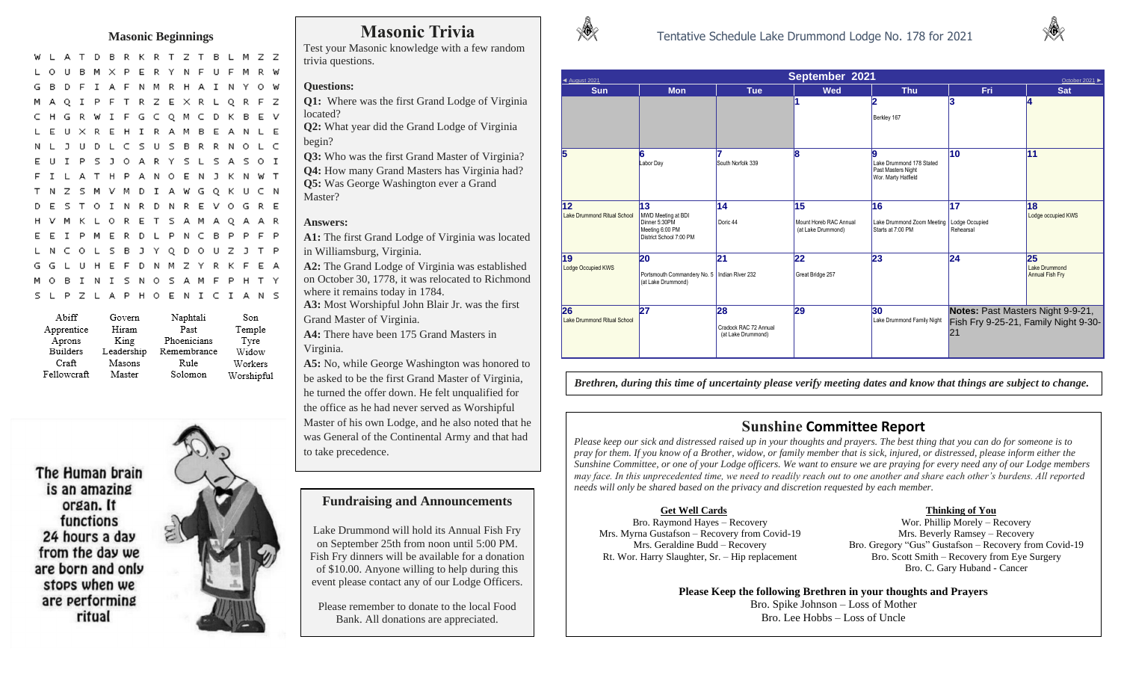#### **Masonic Beginnings**

A T D B R K R T Z T B L M Z Z W L X P E R Y N F U F M R W **U** в M F I A F N M R H A I N Y O W - 6 **D** I P F T R Z E X R L Q R F Z MAQ R W I F G C Q M C D K B E V H G L E U X R E H I R A M B E A N L E N L J U D L C S U S B R R N O L C S J O A R Y S L S A S O I EUIP A T H P A N O E N J K N W T M V M D I A W G Q K U C N T N Z - 5 D E S T O I N R D N R E V O G R E K L O R E T S A M A Q A A R E R D L P N C B P P F P O L S B J Y Q D O U Z J T P L N C GGL H E F D N M Z Y R K F E A **U** N I S N O S A M F P H T Y - B I S L P Z L A P H O E N I C I A N S

| Abiff           | Govern     | Naphtali    | Son        |
|-----------------|------------|-------------|------------|
| Apprentice      | Hiram      | Past        | Temple     |
| Aprons          | King       | Phoenicians | Tyre       |
| <b>Builders</b> | Leadership | Remembrance | Widow      |
| Craft           | Masons     | Rule        | Workers    |
| Fellowcraft     | Master     | Solomon     | Worshipful |

The Human brain is an amazing organ. It functions 24 hours a day from the day we are born and only stops when we are performing ritual



# **Masonic Trivia**

Test your Masonic knowledge with a few random trivia questions.

#### **Questions:**

**Q1:** Where was the first Grand Lodge of Virginia located?

**Q2:** What year did the Grand Lodge of Virginia begin?

**Q3:** Who was the first Grand Master of Virginia? **Q4:** How many Grand Masters has Virginia had? **Q5:** Was George Washington ever a Grand Master?

#### **Answers:**

**A1:** The first Grand Lodge of Virginia was located in Williamsburg, Virginia.

**A2:** The Grand Lodge of Virginia was established on October 30, 1778, it was relocated to Richmond where it remains today in 1784.

**A3:** Most Worshipful John Blair Jr. was the first Grand Master of Virginia.

**A4:** There have been 175 Grand Masters in Virginia.

**A5:** No, while George Washington was honored to be asked to be the first Grand Master of Virginia, he turned the offer down. He felt unqualified for the office as he had never served as Worshipful Master of his own Lodge, and he also noted that he was General of the Continental Army and that had to take precedence.

#### **Fundraising and Announcements**

Lake Drummond will hold its Annual Fish Fry on September 25th from noon until 5:00 PM. Fish Fry dinners will be available for a donation of \$10.00. Anyone willing to help during this event please contact any of our Lodge Officers.

Please remember to donate to the local Food Bank. All donations are appreciated.



| $\triangle$ August 2021           | September 2021<br>October 2021 ▶                                                        |                                                   |                                                    |                                                                            |                                                      |                                        |  |  |  |
|-----------------------------------|-----------------------------------------------------------------------------------------|---------------------------------------------------|----------------------------------------------------|----------------------------------------------------------------------------|------------------------------------------------------|----------------------------------------|--|--|--|
| <b>Sun</b>                        | <b>Mon</b>                                                                              | <b>Tue</b>                                        | <b>Wed</b>                                         | <b>Thu</b>                                                                 | <b>Fri</b>                                           | <b>Sat</b>                             |  |  |  |
|                                   |                                                                                         |                                                   |                                                    | Berkley 167                                                                | 3                                                    | 14                                     |  |  |  |
|                                   | 16<br>Labor Day                                                                         | South Norfolk 339                                 | 8                                                  | g<br>Lake Drummond 178 Stated<br>Past Masters Night<br>Wor. Marty Hatfield | 10                                                   | 11                                     |  |  |  |
| 12<br>Lake Drummond Ritual School | 13<br>MWD Meeting at BDI<br>Dinner 5:30PM<br>Meeting 6:00 PM<br>District School 7:00 PM | 14<br>Doric 44                                    | 15<br>Mount Horeb RAC Annual<br>(at Lake Drummond) | 16<br>Lake Drummond Zoom Meeting   Lodge Occupied<br>Starts at 7:00 PM     | 17<br>Rehearsal                                      | 18<br>Lodge occupied KWS               |  |  |  |
| 19<br>Lodge Occupied KWS          | 20<br>Portsmouth Commandery No. 5   Indian River 232<br>(at Lake Drummond)              | 21                                                | 22<br>Great Bridge 257                             | 23                                                                         | 24                                                   | 25<br>Lake Drummond<br>Annual Fish Fry |  |  |  |
| 26<br>Lake Drummond Ritual School | 27                                                                                      | 28<br>Cradock RAC 72 Annual<br>(at Lake Drummond) | 29                                                 | 30<br>Lake Drummond Family Night                                           | Notes: Past Masters Night 9-9-21,<br>$\overline{21}$ | Fish Fry 9-25-21, Family Night 9-30-   |  |  |  |

*Brethren, during this time of uncertainty please verify meeting dates and know that things are subject to change.* 

### **Sunshine Committee Report**

*Please keep our sick and distressed raised up in your thoughts and prayers. The best thing that you can do for someone is to pray for them. If you know of a Brother, widow, or family member that is sick, injured, or distressed, please inform either the Sunshine Committee, or one of your Lodge officers. We want to ensure we are praying for every need any of our Lodge members may face. In this unprecedented time, we need to readily reach out to one another and share each other's burdens. All reported needs will only be shared based on the privacy and discretion requested by each member.* 

### **Get Well Cards**

Bro. Raymond Hayes – Recovery Mrs. Myrna Gustafson – Recovery from Covid-19 Mrs. Geraldine Budd – Recovery Rt. Wor. Harry Slaughter, Sr. – Hip replacement

#### **Thinking of You**

Wor. Phillip Morely – Recovery Mrs. Beverly Ramsey – Recovery Bro. Gregory "Gus" Gustafson – Recovery from Covid-19 Bro. Scott Smith – Recovery from Eye Surgery Bro. C. Gary Huband - Cancer

**Please Keep the following Brethren in your thoughts and Prayers** Bro. Spike Johnson – Loss of Mother Bro. Lee Hobbs – Loss of Uncle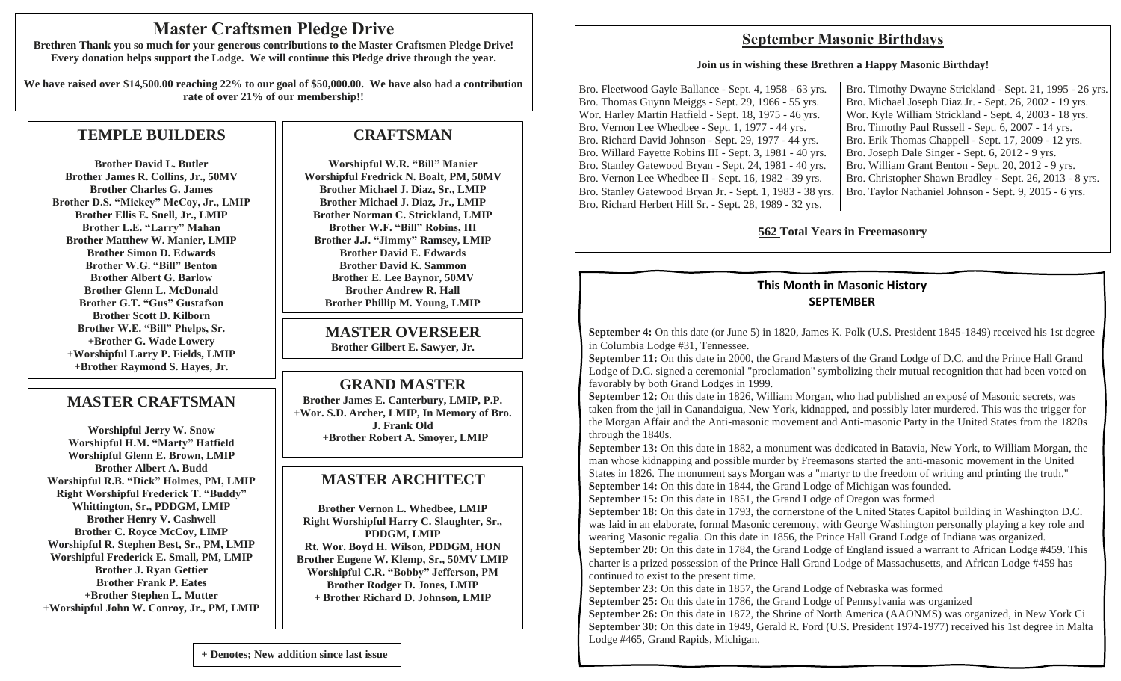# **Master Craftsmen Pledge Drive**

**Brethren Thank you so much for your generous contributions to the Master Craftsmen Pledge Drive! Every donation helps support the Lodge. We will continue this Pledge drive through the year.**

**We have raised over \$14,500.00 reaching 22% to our goal of \$50,000.00. We have also had a contribution rate of over 21% of our membership!!**

# **TEMPLE BUILDERS**

**Brother David L. Butler Brother James R. Collins, Jr., 50MV Brother Charles G. James Brother D.S. "Mickey" McCoy, Jr., LMIP Brother Ellis E. Snell, Jr., LMIP Brother L.E. "Larry" Mahan Brother Matthew W. Manier, LMIP Brother Simon D. Edwards Brother W.G. "Bill" Benton Brother Albert G. Barlow Brother Glenn L. McDonald Brother G.T. "Gus" Gustafson Brother Scott D. Kilborn Brother W.E. "Bill" Phelps, Sr. +Brother G. Wade Lowery +Worshipful Larry P. Fields, LMIP +Brother Raymond S. Hayes, Jr.**

# **MASTER CRAFTSMAN**

**Worshipful Jerry W. Snow Worshipful H.M. "Marty" Hatfield Worshipful Glenn E. Brown, LMIP Brother Albert A. Budd Worshipful R.B. "Dick" Holmes, PM, LMIP Right Worshipful Frederick T. "Buddy" Whittington, Sr., PDDGM, LMIP Brother Henry V. Cashwell Brother C. Royce McCoy, LIMP Worshipful R. Stephen Best, Sr., PM, LMIP Worshipful Frederick E. Small, PM, LMIP Brother J. Ryan Gettier Brother Frank P. Eates +Brother Stephen L. Mutter +Worshipful John W. Conroy, Jr., PM, LMIP**

# **CRAFTSMAN**

**Worshipful W.R. "Bill" Manier Worshipful Fredrick N. Boalt, PM, 50MV Brother Michael J. Diaz, Sr., LMIP Brother Michael J. Diaz, Jr., LMIP Brother Norman C. Strickland, LMIP Brother W.F. "Bill" Robins, III Brother J.J. "Jimmy" Ramsey, LMIP Brother David E. Edwards Brother David K. Sammon Brother E. Lee Baynor, 50MV Brother Andrew R. Hall Brother Phillip M. Young, LMIP**

#### **MASTER OVERSEER Brother Gilbert E. Sawyer, Jr.**

**GRAND MASTER** 

**Brother James E. Canterbury, LMIP, P.P. +Wor. S.D. Archer, LMIP, In Memory of Bro. J. Frank Old +Brother Robert A. Smoyer, LMIP**

# **MASTER ARCHITECT**

**Brother Vernon L. Whedbee, LMIP Right Worshipful Harry C. Slaughter, Sr., PDDGM, LMIP Rt. Wor. Boyd H. Wilson, PDDGM, HON Brother Eugene W. Klemp, Sr., 50MV LMIP Worshipful C.R. "Bobby" Jefferson, PM Brother Rodger D. Jones, LMIP + Brother Richard D. Johnson, LMIP**

# **September Masonic Birthdays**

#### **Join us in wishing these Brethren a Happy Masonic Birthday!**

Bro. Fleetwood Gayle Ballance - Sept. 4, 1958 - 63 yrs. Bro. Thomas Guynn Meiggs - Sept. 29, 1966 - 55 yrs. Wor. Harley Martin Hatfield - Sept. 18, 1975 - 46 yrs. Bro. Vernon Lee Whedbee - Sept. 1, 1977 - 44 yrs. Bro. Richard David Johnson - Sept. 29, 1977 - 44 yrs. Bro. Willard Fayette Robins III - Sept. 3, 1981 - 40 yrs. Bro. Stanley Gatewood Bryan - Sept. 24, 1981 - 40 yrs. Bro. Vernon Lee Whedbee II - Sept. 16, 1982 - 39 yrs. Bro. Stanley Gatewood Bryan Jr. - Sept. 1, 1983 - 38 yrs. Bro. Richard Herbert Hill Sr. - Sept. 28, 1989 - 32 yrs.

Bro. Timothy Dwayne Strickland - Sept. 21, 1995 - 26 yrs. Bro. Michael Joseph Diaz Jr. - Sept. 26, 2002 - 19 yrs. Wor. Kyle William Strickland - Sept. 4, 2003 - 18 yrs. Bro. Timothy Paul Russell - Sept. 6, 2007 - 14 yrs. Bro. Erik Thomas Chappell - Sept. 17, 2009 - 12 yrs. Bro. Joseph Dale Singer - Sept. 6, 2012 - 9 yrs. Bro. William Grant Benton - Sept. 20, 2012 - 9 yrs. Bro. Christopher Shawn Bradley - Sept. 26, 2013 - 8 yrs. Bro. Taylor Nathaniel Johnson - Sept. 9, 2015 - 6 yrs.

### **562 Total Years in Freemasonry**

# **This Month in Masonic History SEPTEMBER**

**September 4:** On this date (or June 5) in 1820, James K. Polk (U.S. President 1845-1849) received his 1st degree in Columbia Lodge #31, Tennessee.

**September 11:** On this date in 2000, the Grand Masters of the Grand Lodge of D.C. and the Prince Hall Grand Lodge of D.C. signed a ceremonial "proclamation" symbolizing their mutual recognition that had been voted on favorably by both Grand Lodges in 1999.

**September 12:** On this date in 1826, William Morgan, who had published an exposé of Masonic secrets, was taken from the jail in Canandaigua, New York, kidnapped, and possibly later murdered. This was the trigger for the Morgan Affair and the Anti-masonic movement and Anti-masonic Party in the United States from the 1820s through the 1840s.

**September 13:** On this date in 1882, a monument was dedicated in Batavia, New York, to William Morgan, the man whose kidnapping and possible murder by Freemasons started the anti-masonic movement in the United States in 1826. The monument says Morgan was a "martyr to the freedom of writing and printing the truth." **September 14:** On this date in 1844, the Grand Lodge of Michigan was founded.

**September 15:** On this date in 1851, the Grand Lodge of Oregon was formed

**September 18:** On this date in 1793, the cornerstone of the United States Capitol building in Washington D.C. was laid in an elaborate, formal Masonic ceremony, with George Washington personally playing a key role and wearing Masonic regalia. On this date in 1856, the Prince Hall Grand Lodge of Indiana was organized. **September 20:** On this date in 1784, the Grand Lodge of England issued a warrant to African Lodge #459. This charter is a prized possession of the Prince Hall Grand Lodge of Massachusetts, and African Lodge #459 has continued to exist to the present time.

**September 23:** On this date in 1857, the Grand Lodge of Nebraska was formed

**September 25:** On this date in 1786, the Grand Lodge of Pennsylvania was organized

**September 26:** On this date in 1872, the Shrine of North America (AAONMS) was organized, in New York Ci **September 30:** On this date in 1949, Gerald R. Ford (U.S. President 1974-1977) received his 1st degree in Malta Lodge #465, Grand Rapids, Michigan.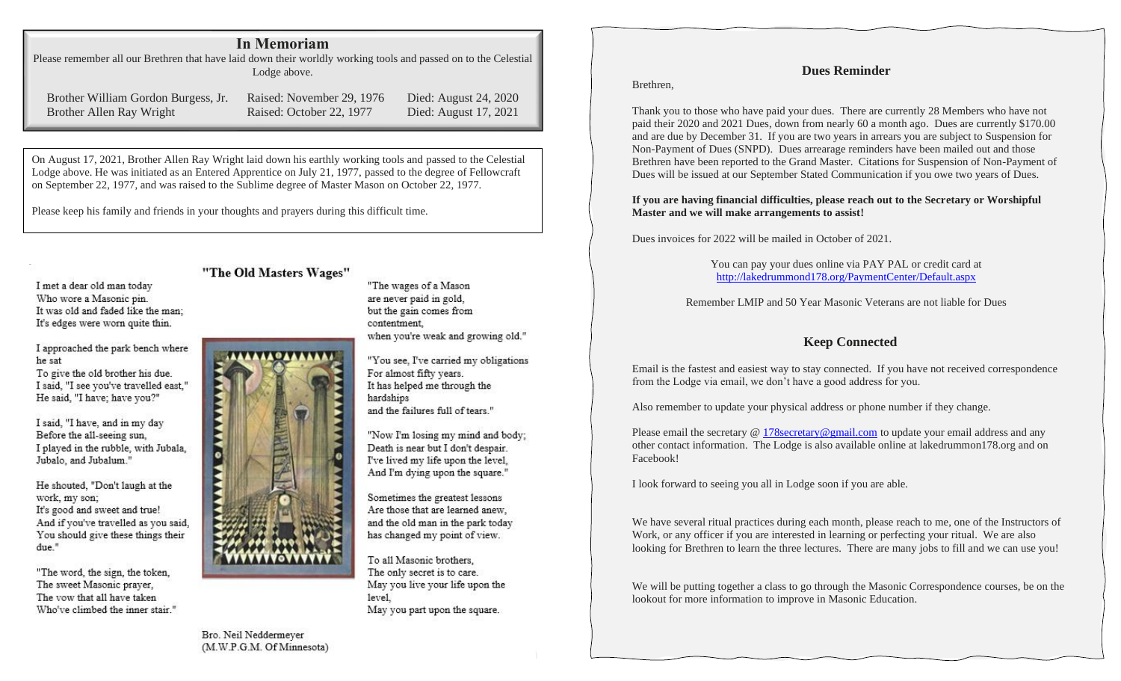### **In Memoriam**

Please remember all our Brethren that have laid down their worldly working tools and passed on to the Celestial Lodge above.

Brother William Gordon Burgess, Jr. Raised: November 29, 1976 Died: August 24, 2020 Brother Allen Ray Wright Raised: October 22, 1977 Died: August 17, 2021

On August 17, 2021, Brother Allen Ray Wright laid down his earthly working tools and passed to the Celestial Lodge above. He was initiated as an Entered Apprentice on July 21, 1977, passed to the degree of Fellowcraft on September 22, 1977, and was raised to the Sublime degree of Master Mason on October 22, 1977.

Please keep his family and friends in your thoughts and prayers during this difficult time.

I met a dear old man today Who wore a Masonic pin. It was old and faded like the man: It's edges were worn quite thin.

I approached the park bench where he sat

To give the old brother his due. I said, "I see you've travelled east," He said, "I have; have you?"

I said, "I have, and in my day Before the all-seeing sun. I played in the rubble, with Jubala. Jubalo, and Jubalum."

He shouted. "Don't laugh at the work, my son; It's good and sweet and true! And if you've travelled as you said, You should give these things their due."

"The word, the sign, the token, The sweet Masonic prayer, The vow that all have taken Who've climbed the inner stair."

#### "The Old Masters Wages"

"The wages of a Mason are never paid in gold, but the gain comes from contentment. when you're weak and growing old."

"You see, I've carried my obligations For almost fifty years. It has helped me through the hardships and the failures full of tears."

"Now I'm losing my mind and body: Death is near but I don't despair. I've lived my life upon the level. And I'm dying upon the square."

Sometimes the greatest lessons Are those that are learned anew, and the old man in the park today has changed my point of view.

To all Masonic brothers. The only secret is to care. May you live your life upon the level. May you part upon the square.

**Dues Reminder**

Brethren,

Thank you to those who have paid your dues. There are currently 28 Members who have not paid their 2020 and 2021 Dues, down from nearly 60 a month ago. Dues are currently \$170.00 and are due by December 31. If you are two years in arrears you are subject to Suspension for Non-Payment of Dues (SNPD). Dues arrearage reminders have been mailed out and those Brethren have been reported to the Grand Master. Citations for Suspension of Non-Payment of Dues will be issued at our September Stated Communication if you owe two years of Dues.

#### **If you are having financial difficulties, please reach out to the Secretary or Worshipful Master and we will make arrangements to assist!**

Dues invoices for 2022 will be mailed in October of 2021.

You can pay your dues online via PAY PAL or credit card at http://lakedrummond178.org/PaymentCenter/Default.aspx

Remember LMIP and 50 Year Masonic Veterans are not liable for Dues

### **Keep Connected**

Email is the fastest and easiest way to stay connected. If you have not received correspondence from the Lodge via email, we don't have a good address for you.

Also remember to update your physical address or phone number if they change.

Please email the secretary @ 178secretary@gmail.com to update your email address and any other contact information. The Lodge is also available online at lakedrummon178.org and on Facebook!

I look forward to seeing you all in Lodge soon if you are able.

We have several ritual practices during each month, please reach to me, one of the Instructors of Work, or any officer if you are interested in learning or perfecting your ritual. We are also looking for Brethren to learn the three lectures. There are many jobs to fill and we can use you!

We will be putting together a class to go through the Masonic Correspondence courses, be on the lookout for more information to improve in Masonic Education.

Bro. Neil Neddermeyer (M.W.P.G.M. Of Minnesota)